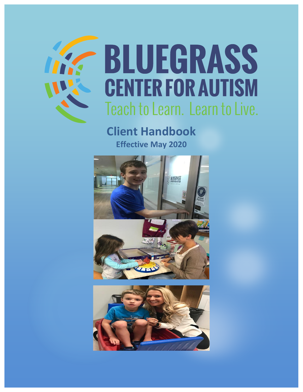

# **BLUEGRASS CENTER FOR AUTISM** Teach to Learn. Learn to Live.

## **Client Handbook Effective May 2020**



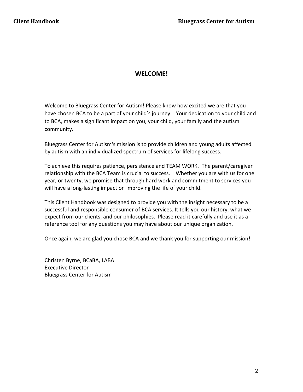#### **WELCOME!**

Welcome to Bluegrass Center for Autism! Please know how excited we are that you have chosen BCA to be a part of your child's journey. Your dedication to your child and to BCA, makes a significant impact on you, your child, your family and the autism community.

Bluegrass Center for Autism's mission is to provide children and young adults affected by autism with an individualized spectrum of services for lifelong success.

To achieve this requires patience, persistence and TEAM WORK. The parent/caregiver relationship with the BCA Team is crucial to success. Whether you are with us for one year, or twenty, we promise that through hard work and commitment to services you will have a long-lasting impact on improving the life of your child.

This Client Handbook was designed to provide you with the insight necessary to be a successful and responsible consumer of BCA services. It tells you our history, what we expect from our clients, and our philosophies. Please read it carefully and use it as a reference tool for any questions you may have about our unique organization.

Once again, we are glad you chose BCA and we thank you for supporting our mission!

Christen Byrne, BCaBA, LABA Executive Director Bluegrass Center for Autism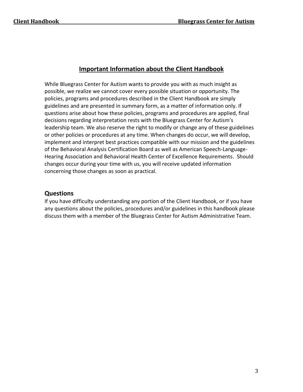#### **Important Information about the Client Handbook**

While Bluegrass Center for Autism wants to provide you with as much insight as possible, we realize we cannot cover every possible situation or opportunity. The policies, programs and procedures described in the Client Handbook are simply guidelines and are presented in summary form, as a matter of information only. If questions arise about how these policies, programs and procedures are applied, final decisions regarding interpretation rests with the Bluegrass Center for Autism's leadership team. We also reserve the right to modify or change any of these guidelines or other policies or procedures at any time. When changes do occur, we will develop, implement and interpret best practices compatible with our mission and the guidelines of the Behavioral Analysis Certification Board as well as American Speech-Language-Hearing Association and Behavioral Health Center of Excellence Requirements. Should changes occur during your time with us, you will receive updated information concerning those changes as soon as practical.

#### **Questions**

If you have difficulty understanding any portion of the Client Handbook, or if you have any questions about the policies, procedures and/or guidelines in this handbook please discuss them with a member of the Bluegrass Center for Autism Administrative Team.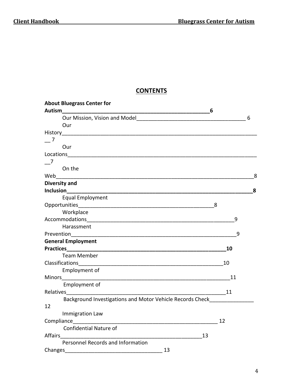#### **CONTENTS**

| <b>About Bluegrass Center for</b>                                                                                                                                                                                             |    |   |
|-------------------------------------------------------------------------------------------------------------------------------------------------------------------------------------------------------------------------------|----|---|
| Autism                                                                                                                                                                                                                        | 6  |   |
|                                                                                                                                                                                                                               |    | 6 |
| Our                                                                                                                                                                                                                           |    |   |
|                                                                                                                                                                                                                               |    |   |
| $\overline{\phantom{0}}$ 7                                                                                                                                                                                                    |    |   |
| Our                                                                                                                                                                                                                           |    |   |
|                                                                                                                                                                                                                               |    |   |
| $\overline{7}$                                                                                                                                                                                                                |    |   |
| On the                                                                                                                                                                                                                        |    |   |
|                                                                                                                                                                                                                               |    | 8 |
| <b>Diversity and</b>                                                                                                                                                                                                          |    |   |
|                                                                                                                                                                                                                               |    | 8 |
| Equal Employment                                                                                                                                                                                                              |    |   |
|                                                                                                                                                                                                                               | 8  |   |
| Workplace                                                                                                                                                                                                                     |    |   |
|                                                                                                                                                                                                                               | 9  |   |
| Harassment                                                                                                                                                                                                                    |    |   |
| Prevention_________                                                                                                                                                                                                           | 9  |   |
| <b>General Employment</b>                                                                                                                                                                                                     |    |   |
|                                                                                                                                                                                                                               | 10 |   |
| Team Member                                                                                                                                                                                                                   |    |   |
|                                                                                                                                                                                                                               | 10 |   |
| Employment of                                                                                                                                                                                                                 |    |   |
|                                                                                                                                                                                                                               | 11 |   |
| Employment of                                                                                                                                                                                                                 |    |   |
| Relatives and the contract of the contract of the contract of the contract of the contract of the contract of the contract of the contract of the contract of the contract of the contract of the contract of the contract of |    |   |
| Background Investigations and Motor Vehicle Records Check                                                                                                                                                                     |    |   |
| 12                                                                                                                                                                                                                            |    |   |
| Immigration Law                                                                                                                                                                                                               |    |   |
|                                                                                                                                                                                                                               | 12 |   |
| <b>Confidential Nature of</b>                                                                                                                                                                                                 |    |   |
| 13                                                                                                                                                                                                                            |    |   |
| Personnel Records and Information                                                                                                                                                                                             |    |   |
| 13                                                                                                                                                                                                                            |    |   |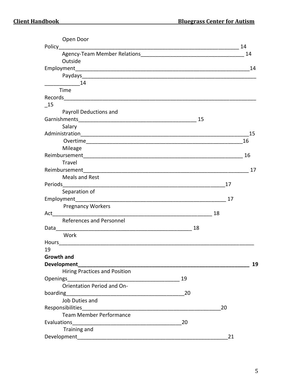| Open Door                                                                                                                                                                                                                      |    |    |    |
|--------------------------------------------------------------------------------------------------------------------------------------------------------------------------------------------------------------------------------|----|----|----|
|                                                                                                                                                                                                                                |    |    | 14 |
|                                                                                                                                                                                                                                |    |    | 14 |
| Outside                                                                                                                                                                                                                        |    |    |    |
|                                                                                                                                                                                                                                |    |    | 14 |
| Paydays and the contract of the contract of the contract of the contract of the contract of the contract of the                                                                                                                |    |    |    |
| 14                                                                                                                                                                                                                             |    |    |    |
| Time                                                                                                                                                                                                                           |    |    |    |
|                                                                                                                                                                                                                                |    |    |    |
| - 15                                                                                                                                                                                                                           |    |    |    |
| Payroll Deductions and                                                                                                                                                                                                         |    |    |    |
|                                                                                                                                                                                                                                | 15 |    |    |
| Salary                                                                                                                                                                                                                         |    |    |    |
|                                                                                                                                                                                                                                |    |    | 15 |
|                                                                                                                                                                                                                                |    |    | 16 |
| Mileage                                                                                                                                                                                                                        |    |    |    |
|                                                                                                                                                                                                                                |    |    | 16 |
| Travel                                                                                                                                                                                                                         |    |    |    |
|                                                                                                                                                                                                                                |    |    | 17 |
| <b>Meals and Rest</b>                                                                                                                                                                                                          |    |    |    |
|                                                                                                                                                                                                                                |    | 17 |    |
| Separation of                                                                                                                                                                                                                  |    |    |    |
|                                                                                                                                                                                                                                |    | 17 |    |
| <b>Pregnancy Workers</b>                                                                                                                                                                                                       |    |    |    |
|                                                                                                                                                                                                                                |    | 18 |    |
| References and Personnel                                                                                                                                                                                                       |    |    |    |
| Data the control of the control of the control of the control of the control of the control of the control of the control of the control of the control of the control of the control of the control of the control of the con | 18 |    |    |
| Work                                                                                                                                                                                                                           |    |    |    |
|                                                                                                                                                                                                                                |    |    |    |
| 19                                                                                                                                                                                                                             |    |    |    |
| Growth and                                                                                                                                                                                                                     |    |    |    |
| Development                                                                                                                                                                                                                    |    |    | 19 |
| <b>Hiring Practices and Position</b>                                                                                                                                                                                           |    |    |    |
|                                                                                                                                                                                                                                | 19 |    |    |
| Orientation Period and On-                                                                                                                                                                                                     |    |    |    |
|                                                                                                                                                                                                                                | 20 |    |    |
| Job Duties and                                                                                                                                                                                                                 |    |    |    |
|                                                                                                                                                                                                                                |    | 20 |    |
| Team Member Performance                                                                                                                                                                                                        |    |    |    |
| Evaluations                                                                                                                                                                                                                    | 20 |    |    |
| Training and                                                                                                                                                                                                                   |    |    |    |
|                                                                                                                                                                                                                                |    | 21 |    |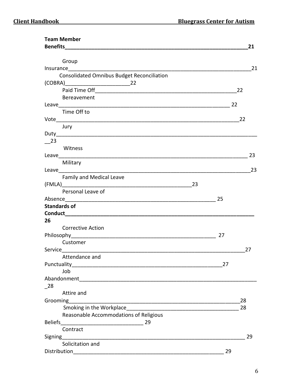| <b>Team Member</b>                                                                                                                                                                                                            |     |    |
|-------------------------------------------------------------------------------------------------------------------------------------------------------------------------------------------------------------------------------|-----|----|
|                                                                                                                                                                                                                               |     | 21 |
|                                                                                                                                                                                                                               |     |    |
| Group                                                                                                                                                                                                                         |     |    |
| Insurance <u>_____________________</u>                                                                                                                                                                                        |     | 21 |
| <b>Consolidated Omnibus Budget Reconciliation</b>                                                                                                                                                                             |     |    |
| $(COBRA)$ 22                                                                                                                                                                                                                  |     |    |
|                                                                                                                                                                                                                               |     | 22 |
| Bereavement                                                                                                                                                                                                                   | 22  |    |
| Time Off to                                                                                                                                                                                                                   |     |    |
|                                                                                                                                                                                                                               |     | 22 |
| Jury                                                                                                                                                                                                                          |     |    |
|                                                                                                                                                                                                                               |     |    |
| $-$ 23                                                                                                                                                                                                                        |     |    |
| Witness                                                                                                                                                                                                                       |     |    |
|                                                                                                                                                                                                                               |     | 23 |
| Military                                                                                                                                                                                                                      |     |    |
| Leave and the contract of the contract of the contract of the contract of the contract of the contract of the contract of the contract of the contract of the contract of the contract of the contract of the contract of the |     | 23 |
| Family and Medical Leave                                                                                                                                                                                                      |     |    |
| 23                                                                                                                                                                                                                            |     |    |
| Personal Leave of                                                                                                                                                                                                             |     |    |
|                                                                                                                                                                                                                               | -25 |    |
| <b>Standards of</b>                                                                                                                                                                                                           |     |    |
|                                                                                                                                                                                                                               |     |    |
| 26                                                                                                                                                                                                                            |     |    |
| <b>Corrective Action</b>                                                                                                                                                                                                      |     |    |
|                                                                                                                                                                                                                               | 27  |    |
| Customer                                                                                                                                                                                                                      |     |    |
|                                                                                                                                                                                                                               |     | 27 |
| Attendance and                                                                                                                                                                                                                |     |    |
| Punctuality                                                                                                                                                                                                                   | 27  |    |
| Job                                                                                                                                                                                                                           |     |    |
|                                                                                                                                                                                                                               |     |    |
| 28                                                                                                                                                                                                                            |     |    |
| Attire and                                                                                                                                                                                                                    |     |    |
| Grooming                                                                                                                                                                                                                      |     | 28 |
|                                                                                                                                                                                                                               |     | 28 |
| Reasonable Accommodations of Religious                                                                                                                                                                                        |     |    |
| <b>Beliefs</b><br>29                                                                                                                                                                                                          |     |    |
| Contract                                                                                                                                                                                                                      |     |    |
| Signing                                                                                                                                                                                                                       |     | 29 |
| Solicitation and                                                                                                                                                                                                              |     |    |
| Distribution                                                                                                                                                                                                                  | 29  |    |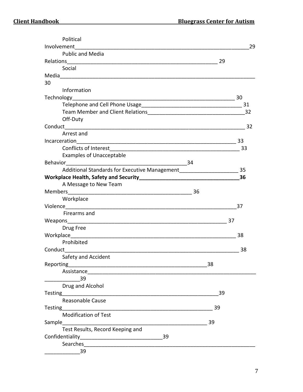| Political                                                      |    |      |
|----------------------------------------------------------------|----|------|
| Involvement                                                    |    | 29   |
| <b>Public and Media</b>                                        |    |      |
|                                                                | 29 |      |
| Social                                                         |    |      |
|                                                                |    |      |
| 30                                                             |    |      |
| Information                                                    |    |      |
|                                                                |    | - 30 |
|                                                                |    | 31   |
|                                                                |    |      |
| Off-Duty                                                       |    |      |
|                                                                |    |      |
| Arrest and                                                     |    |      |
| Incarceration                                                  |    | 33   |
| Conflicts of Interest <b>Conflicts</b> of Interest             |    | - 33 |
| <b>Examples of Unacceptable</b>                                |    |      |
| Behavior 34                                                    |    |      |
| Additional Standards for Executive Management                  |    | 35   |
| Workplace Health, Safety and Security North Banks and Security |    | 36   |
| A Message to New Team                                          |    |      |
| <b>Members</b>                                                 |    |      |
| Workplace                                                      |    |      |
|                                                                |    | 37   |
| Firearms and                                                   |    |      |
|                                                                | 37 |      |
| Drug Free                                                      |    |      |
|                                                                |    | 38   |
| Prohibited                                                     |    |      |
| Conduct                                                        |    | 38   |
| Safety and Accident                                            |    |      |
|                                                                | 38 |      |
|                                                                |    |      |
| 39                                                             |    |      |
| Drug and Alcohol                                               |    |      |
|                                                                | 39 |      |
| <b>Reasonable Cause</b>                                        |    |      |
| Testing _____________________                                  | 39 |      |
| <b>Modification of Test</b>                                    |    |      |
| Sample                                                         | 39 |      |
| Test Results, Record Keeping and                               |    |      |
| Confidentiality<br>39                                          |    |      |
| Searches                                                       |    |      |
| 39                                                             |    |      |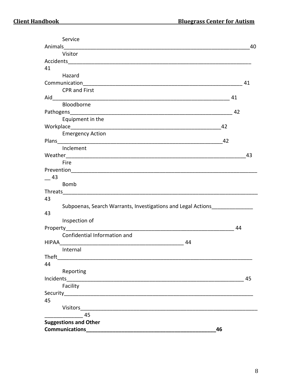| Service                                                               |    |    |
|-----------------------------------------------------------------------|----|----|
|                                                                       |    | 40 |
| Visitor                                                               |    |    |
|                                                                       |    |    |
| 41                                                                    |    |    |
| Hazard                                                                |    |    |
|                                                                       |    | 41 |
| <b>CPR and First</b>                                                  |    |    |
| Aid                                                                   | 41 |    |
| Bloodborne                                                            |    |    |
|                                                                       | 42 |    |
| Equipment in the                                                      |    |    |
|                                                                       | 42 |    |
| <b>Emergency Action</b>                                               |    |    |
|                                                                       | 42 |    |
| Inclement                                                             |    |    |
|                                                                       |    | 43 |
| Fire                                                                  |    |    |
|                                                                       |    |    |
| 43                                                                    |    |    |
| <b>Bomb</b>                                                           |    |    |
|                                                                       |    |    |
| 43                                                                    |    |    |
| Subpoenas, Search Warrants, Investigations and Legal Actions          |    |    |
| 43                                                                    |    |    |
| Inspection of                                                         |    |    |
|                                                                       | 44 |    |
| Confidential Information and                                          |    |    |
| 44                                                                    |    |    |
| Internal                                                              |    |    |
| <b>Theft</b>                                                          |    |    |
| 44                                                                    |    |    |
| Reporting                                                             |    |    |
|                                                                       |    | 45 |
| Facility                                                              |    |    |
| Security <b>Constant Community</b> Security <b>Constant Community</b> |    |    |
| 45                                                                    |    |    |
|                                                                       |    |    |
| $\overline{a}$ 45                                                     |    |    |
| <b>Suggestions and Other</b>                                          |    |    |
| <b>Communications</b>                                                 | 46 |    |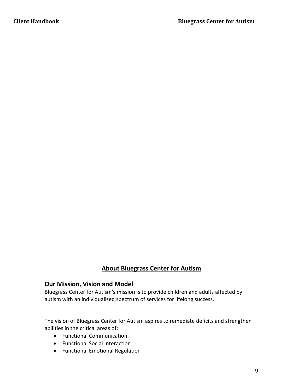#### **About Bluegrass Center for Autism**

#### **Our Mission, Vision and Model**

Bluegrass Center for Autism's mission is to provide children and adults affected by autism with an individualized spectrum of services for lifelong success.

The vision of Bluegrass Center for Autism aspires to remediate deficits and strengthen abilities in the critical areas of:

- Functional Communication
- Functional Social Interaction
- Functional Emotional Regulation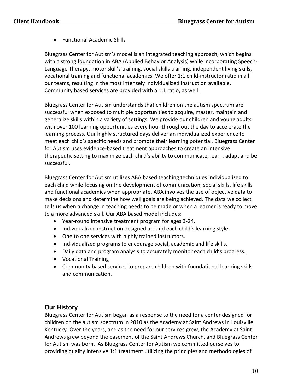• Functional Academic Skills

Bluegrass Center for Autism's model is an integrated teaching approach, which begins with a strong foundation in ABA (Applied Behavior Analysis) while incorporating Speech-Language Therapy, motor skill's training, social skills training, independent living skills, vocational training and functional academics. We offer 1:1 child-instructor ratio in all our teams, resulting in the most intensely individualized instruction available. Community based services are provided with a 1:1 ratio, as well.

Bluegrass Center for Autism understands that children on the autism spectrum are successful when exposed to multiple opportunities to acquire, master, maintain and generalize skills within a variety of settings. We provide our children and young adults with over 100 learning opportunities every hour throughout the day to accelerate the learning process. Our highly structured days deliver an individualized experience to meet each child's specific needs and promote their learning potential. Bluegrass Center for Autism uses evidence-based treatment approaches to create an intensive therapeutic setting to maximize each child's ability to communicate, learn, adapt and be successful.

Bluegrass Center for Autism utilizes ABA based teaching techniques individualized to each child while focusing on the development of communication, social skills, life skills and functional academics when appropriate. ABA involves the use of objective data to make decisions and determine how well goals are being achieved. The data we collect tells us when a change in teaching needs to be made or when a learner is ready to move to a more advanced skill. Our ABA based model includes:

- Year-round intensive treatment program for ages 3-24.
- Individualized instruction designed around each child's learning style.
- One to one services with highly trained instructors.
- Individualized programs to encourage social, academic and life skills.
- Daily data and program analysis to accurately monitor each child's progress.
- Vocational Training
- Community based services to prepare children with foundational learning skills and communication.

#### **Our History**

Bluegrass Center for Autism began as a response to the need for a center designed for children on the autism spectrum in 2010 as the Academy at Saint Andrews in Louisville, Kentucky. Over the years, and as the need for our services grew, the Academy at Saint Andrews grew beyond the basement of the Saint Andrews Church, and Bluegrass Center for Autism was born. As Bluegrass Center for Autism we committed ourselves to providing quality intensive 1:1 treatment utilizing the principles and methodologies of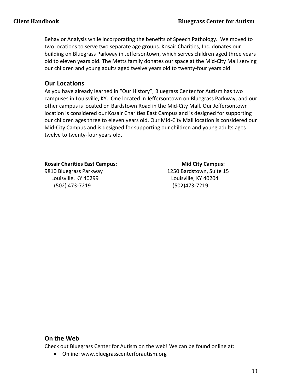Behavior Analysis while incorporating the benefits of Speech Pathology. We moved to two locations to serve two separate age groups. Kosair Charities, Inc. donates our building on Bluegrass Parkway in Jeffersontown, which serves children aged three years old to eleven years old. The Metts family donates our space at the Mid-City Mall serving our children and young adults aged twelve years old to twenty-four years old.

#### **Our Locations**

As you have already learned in "Our History", Bluegrass Center for Autism has two campuses in Louisville, KY. One located in Jeffersontown on Bluegrass Parkway, and our other campus is located on Bardstown Road in the Mid-City Mall. Our Jeffersontown location is considered our Kosair Charities East Campus and is designed for supporting our children ages three to eleven years old. Our Mid-City Mall location is considered our Mid-City Campus and is designed for supporting our children and young adults ages twelve to twenty-four years old.

#### Kosair Charities East Campus: **Mid City Campus:** Mid City Campus:

(502) 473-7219 (502)473-7219

9810 Bluegrass Parkway 1250 Bardstown, Suite 15 Louisville, KY 40299 Louisville, KY 40204

#### **On the Web**

Check out Bluegrass Center for Autism on the web! We can be found online at:

• Online: [www.bluegrasscenterforautism.org](http://www.bluegrasscenterforautism.org/)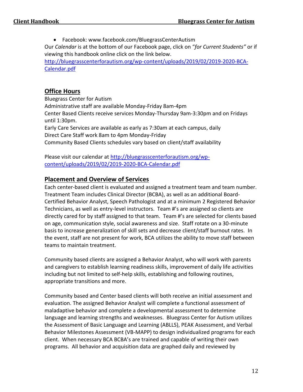• Facebook[: www.facebook.com/BluegrassCenterAutism](http://www.facebook.com/BluegrassCenterAutism)

Our *Calendar* is at the bottom of our Facebook page, click on "*for Current Students"* or if viewing this handbook online click on the link below.

[http://bluegrasscenterforautism.org/wp-content/uploads/2019/02/2019-2020-BCA-](http://bluegrasscenterforautism.org/wp-content/uploads/2019/02/2019-2020-BCA-Calendar.pdf)[Calendar.pdf](http://bluegrasscenterforautism.org/wp-content/uploads/2019/02/2019-2020-BCA-Calendar.pdf)

#### **Office Hours**

Bluegrass Center for Autism Administrative staff are available Monday-Friday 8am-4pm Center Based Clients receive services Monday-Thursday 9am-3:30pm and on Fridays until 1:30pm. Early Care Services are available as early as 7:30am at each campus, daily Direct Care Staff work 8am to 4pm Monday-Friday Community Based Clients schedules vary based on client/staff availability

Please visit our calendar at [http://bluegrasscenterforautism.org/wp](http://bluegrasscenterforautism.org/wp-content/uploads/2019/02/2019-2020-BCA-Calendar.pdf)[content/uploads/2019/02/2019-2020-BCA-Calendar.pdf](http://bluegrasscenterforautism.org/wp-content/uploads/2019/02/2019-2020-BCA-Calendar.pdf)

#### **Placement and Overview of Services**

Each center-based client is evaluated and assigned a treatment team and team number. Treatment Team includes Clinical Director (BCBA), as well as an additional Board-Certified Behavior Analyst, Speech Pathologist and at a minimum 2 Registered Behavior Technicians, as well as entry-level instructors. Team #'s are assigned so clients are directly cared for by staff assigned to that team. Team #'s are selected for clients based on age, communication style, social awareness and size. Staff rotate on a 30-minute basis to increase generalization of skill sets and decrease client/staff burnout rates. In the event, staff are not present for work, BCA utilizes the ability to move staff between teams to maintain treatment.

Community based clients are assigned a Behavior Analyst, who will work with parents and caregivers to establish learning readiness skills, improvement of daily life activities including but not limited to self-help skills, establishing and following routines, appropriate transitions and more.

Community based and Center based clients will both receive an initial assessment and evaluation. The assigned Behavior Analyst will complete a functional assessment of maladaptive behavior and complete a developmental assessment to determine language and learning strengths and weaknesses. Bluegrass Center for Autism utilizes the Assessment of Basic Language and Learning (ABLLS), PEAK Assessment, and Verbal Behavior Milestones Assessment (VB-MAPP) to design individualized programs for each client. When necessary BCA BCBA's are trained and capable of writing their own programs. All behavior and acquisition data are graphed daily and reviewed by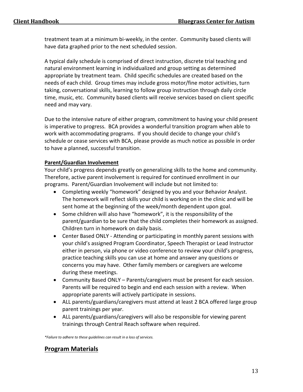treatment team at a minimum bi-weekly, in the center. Community based clients will have data graphed prior to the next scheduled session.

A typical daily schedule is comprised of direct instruction, discrete trial teaching and natural environment learning in individualized and group setting as determined appropriate by treatment team. Child specific schedules are created based on the needs of each child. Group times may include gross motor/fine motor activities, turn taking, conversational skills, learning to follow group instruction through daily circle time, music, etc. Community based clients will receive services based on client specific need and may vary.

Due to the intensive nature of either program, commitment to having your child present is imperative to progress. BCA provides a wonderful transition program when able to work with accommodating programs. If you should decide to change your child's schedule or cease services with BCA, please provide as much notice as possible in order to have a planned, successful transition.

#### **Parent/Guardian Involvement**

Your child's progress depends greatly on generalizing skills to the home and community. Therefore, active parent involvement is required for continued enrollment in our programs. Parent/Guardian Involvement will include but not limited to:

- Completing weekly "homework" designed by you and your Behavior Analyst. The homework will reflect skills your child is working on in the clinic and will be sent home at the beginning of the week/month dependent upon goal.
- Some children will also have "homework", it is the responsibility of the parent/guardian to be sure that the child completes their homework as assigned. Children turn in homework on daily basis.
- Center Based ONLY Attending or participating in monthly parent sessions with your child's assigned Program Coordinator, Speech Therapist or Lead Instructor either in person, via phone or video conference to review your child's progress, practice teaching skills you can use at home and answer any questions or concerns you may have. Other family members or caregivers are welcome during these meetings.
- Community Based ONLY Parents/caregivers must be present for each session. Parents will be required to begin and end each session with a review. When appropriate parents will actively participate in sessions.
- ALL parents/guardians/caregivers must attend at least 2 BCA offered large group parent trainings per year.
- ALL parents/guardians/caregivers will also be responsible for viewing parent trainings through Central Reach software when required.

*\*Failure to adhere to these guidelines can result in a loss of services.*

#### **Program Materials**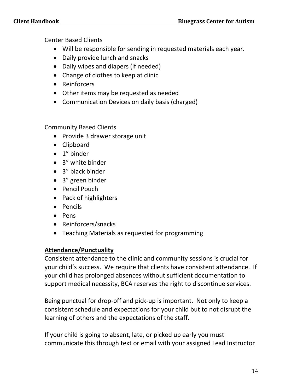Center Based Clients

- Will be responsible for sending in requested materials each year.
- Daily provide lunch and snacks
- Daily wipes and diapers (if needed)
- Change of clothes to keep at clinic
- Reinforcers
- Other items may be requested as needed
- Communication Devices on daily basis (charged)

Community Based Clients

- Provide 3 drawer storage unit
- Clipboard
- 1" binder
- 3" white binder
- 3" black binder
- 3" green binder
- Pencil Pouch
- Pack of highlighters
- Pencils
- Pens
- Reinforcers/snacks
- Teaching Materials as requested for programming

#### **Attendance/Punctuality**

Consistent attendance to the clinic and community sessions is crucial for your child's success. We require that clients have consistent attendance. If your child has prolonged absences without sufficient documentation to support medical necessity, BCA reserves the right to discontinue services.

Being punctual for drop-off and pick-up is important. Not only to keep a consistent schedule and expectations for your child but to not disrupt the learning of others and the expectations of the staff.

If your child is going to absent, late, or picked up early you must communicate this through text or email with your assigned Lead Instructor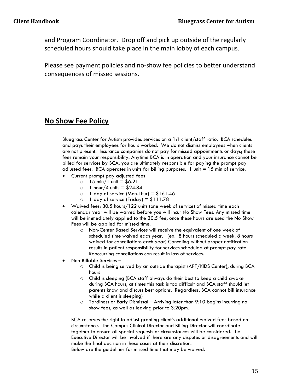and Program Coordinator. Drop off and pick up outside of the regularly scheduled hours should take place in the main lobby of each campus.

Please see payment policies and no-show fee policies to better understand consequences of missed sessions.

#### **No Show Fee Policy**

Bluegrass Center for Autism provides services on a 1:1 client/staff ratio. BCA schedules and pays their employees for hours worked. We do not dismiss employees when clients are not present. Insurance companies do not pay for missed appointments or days; these fees remain your responsibility. Anytime BCA is in operation and your insurance cannot be billed for services by BCA, you are ultimately responsible for paying the prompt pay adjusted fees. BCA operates in units for billing purposes. 1 unit  $= 15$  min of service.

- Current prompt pay adjusted fees
	- $\circ$  15 min/1 unit = \$6.21
	- $\circ$  1 hour/4 units = \$24.84
	- $\circ$  1 day of service (Mon-Thur) = \$161.46
	- $\circ$  1 day of service (Friday) = \$111.78
- Waived fees: 30.5 hours/122 units (one week of service) of missed time each calendar year will be waived before you will incur No Show Fees. Any missed time will be immediately applied to the 30.5 fee, once these hours are used the No Show Fees will be applied for missed time.
	- o Non-Center Based Services will receive the equivalent of one week of scheduled time waived each year. (ex. 8 hours scheduled a week, 8 hours waived for cancellations each year) Canceling without proper notification results in patient responsibility for services scheduled at prompt pay rate. Reoccurring cancellations can result in loss of services.
- Non-Billable Services
	- o Child is being served by an outside therapist (APT/KIDS Center), during BCA hours
	- o Child is sleeping (BCA staff always do their best to keep a child awake during BCA hours, at times this task is too difficult and BCA staff should let parents know and discuss best options. Regardless, BCA cannot bill insurance while a client is sleeping)
	- o Tardiness or Early Dismissal Arriving later than 9:10 begins incurring no show fees, as well as leaving prior to 3:20pm.

BCA reserves the right to adjust granting client's additional waived fees based on circumstance. The Campus Clinical Director and Billing Director will coordinate together to ensure all special requests or circumstances will be considered. The Executive Director will be involved if there are any disputes or disagreements and will make the final decision in these cases at their discretion.

Below are the guidelines for missed time that may be waived.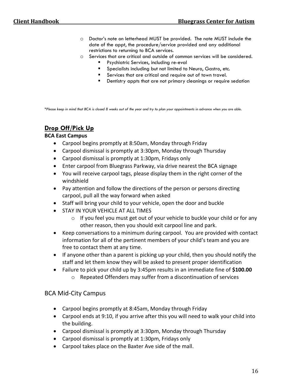- o Doctor's note on letterhead MUST be provided. The note MUST include the date of the appt, the procedure/service provided and any additional restrictions to returning to BCA services.
- o Services that are critical and outside of common services will be considered.
	- **■** Psychiatric Services, including re-eval
		- Specialists including but not limited to Neuro, Gastro, etc.
		- Services that are critical and require out of town travel.
		- Dentistry appts that are not primary cleanings or require sedation

*\*Please keep in mind that BCA is closed 8 weeks out of the year and try to plan your appointments in advance when you are able.* 

#### **Drop Off/Pick Up**

#### **BCA East Campus**

- Carpool begins promptly at 8:50am, Monday through Friday
- Carpool dismissal is promptly at 3:30pm, Monday through Thursday
- Carpool dismissal is promptly at 1:30pm, Fridays only
- Enter carpool from Bluegrass Parkway, via drive nearest the BCA signage
- You will receive carpool tags, please display them in the right corner of the windshield
- Pay attention and follow the directions of the person or persons directing carpool, pull all the way forward when asked
- Staff will bring your child to your vehicle, open the door and buckle
- STAY IN YOUR VEHICLE AT ALL TIMES
	- o If you feel you must get out of your vehicle to buckle your child or for any other reason, then you should exit carpool line and park.
- Keep conversations to a minimum during carpool. You are provided with contact information for all of the pertinent members of your child's team and you are free to contact them at any time.
- If anyone other than a parent is picking up your child, then you should notify the staff and let them know they will be asked to present proper identification
- Failure to pick your child up by 3:45pm results in an immediate fine of **\$100.00** o Repeated Offenders may suffer from a discontinuation of services

#### BCA Mid-City Campus

- Carpool begins promptly at 8:45am, Monday through Friday
- Carpool ends at 9:10, if you arrive after this you will need to walk your child into the building.
- Carpool dismissal is promptly at 3:30pm, Monday through Thursday
- Carpool dismissal is promptly at 1:30pm, Fridays only
- Carpool takes place on the Baxter Ave side of the mall.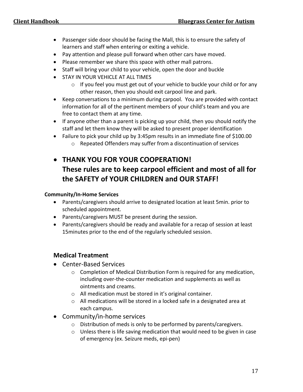- Passenger side door should be facing the Mall, this is to ensure the safety of learners and staff when entering or exiting a vehicle.
- Pay attention and please pull forward when other cars have moved.
- Please remember we share this space with other mall patrons.
- Staff will bring your child to your vehicle, open the door and buckle
- **STAY IN YOUR VEHICLE AT ALL TIMES** 
	- o If you feel you must get out of your vehicle to buckle your child or for any other reason, then you should exit carpool line and park.
- Keep conversations to a minimum during carpool. You are provided with contact information for all of the pertinent members of your child's team and you are free to contact them at any time.
- If anyone other than a parent is picking up your child, then you should notify the staff and let them know they will be asked to present proper identification
- Failure to pick your child up by 3:45pm results in an immediate fine of \$100.00
	- o Repeated Offenders may suffer from a discontinuation of services

### • **THANK YOU FOR YOUR COOPERATION! These rules are to keep carpool efficient and most of all for the SAFETY of YOUR CHILDREN and OUR STAFF!**

#### **Community/In-Home Services**

- Parents/caregivers should arrive to designated location at least 5min. prior to scheduled appointment.
- Parents/caregivers MUST be present during the session.
- Parents/caregivers should be ready and available for a recap of session at least 15minutes prior to the end of the regularly scheduled session.

#### **Medical Treatment**

- Center-Based Services
	- o Completion of Medical Distribution Form is required for any medication, including over-the-counter medication and supplements as well as ointments and creams.
	- o All medication must be stored in it's original container.
	- o All medications will be stored in a locked safe in a designated area at each campus.
- Community/in-home services
	- o Distribution of meds is only to be performed by parents/caregivers.
	- o Unless there is life saving medication that would need to be given in case of emergency (ex. Seizure meds, epi-pen)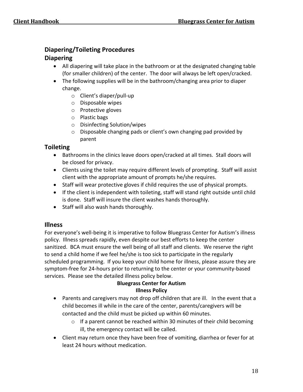#### **Diapering/Toileting Procedures**

#### **Diapering**

- All diapering will take place in the bathroom or at the designated changing table (for smaller children) of the center. The door will always be left open/cracked.
- The following supplies will be in the bathroom/changing area prior to diaper change.
	- o Client's diaper/pull-up
	- o Disposable wipes
	- o Protective gloves
	- o Plastic bags
	- o Disinfecting Solution/wipes
	- o Disposable changing pads or client's own changing pad provided by parent

#### **Toileting**

- Bathrooms in the clinics leave doors open/cracked at all times. Stall doors will be closed for privacy.
- Clients using the toilet may require different levels of prompting. Staff will assist client with the appropriate amount of prompts he/she requires.
- Staff will wear protective gloves if child requires the use of physical prompts.
- If the client is independent with toileting, staff will stand right outside until child is done. Staff will insure the client washes hands thoroughly.
- Staff will also wash hands thoroughly.

#### **Illness**

For everyone's well-being it is imperative to follow Bluegrass Center for Autism's illness policy. Illness spreads rapidly, even despite our best efforts to keep the center sanitized. BCA must ensure the well being of all staff and clients. We reserve the right to send a child home if we feel he/she is too sick to participate in the regularly scheduled programming. If you keep your child home for illness, please assure they are symptom-free for 24-hours prior to returning to the center or your community-based services. Please see the detailed illness policy below.

#### **Bluegrass Center for Autism Illness Policy**

- Parents and caregivers may not drop off children that are ill. In the event that a child becomes ill while in the care of the center, parents/caregivers will be contacted and the child must be picked up within 60 minutes.
	- $\circ$  If a parent cannot be reached within 30 minutes of their child becoming ill, the emergency contact will be called.
- Client may return once they have been free of vomiting, diarrhea or fever for at least 24 hours without medication.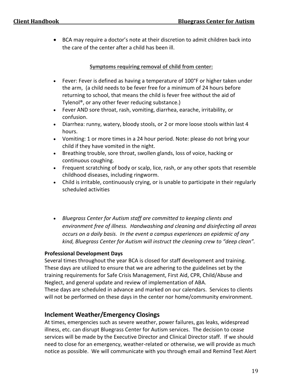• BCA may require a doctor's note at their discretion to admit children back into the care of the center after a child has been ill.

#### **Symptoms requiring removal of child from center:**

- Fever: Fever is defined as having a temperature of 100°F or higher taken under the arm, (a child needs to be fever free for a minimum of 24 hours before returning to school, that means the child is fever free without the aid of Tylenol®, or any other fever reducing substance.)
- Fever AND sore throat, rash, vomiting, diarrhea, earache, irritability, or confusion.
- Diarrhea: runny, watery, bloody stools, or 2 or more loose stools within last 4 hours.
- Vomiting: 1 or more times in a 24 hour period. Note: please do not bring your child if they have vomited in the night.
- Breathing trouble, sore throat, swollen glands, loss of voice, hacking or continuous coughing.
- Frequent scratching of body or scalp, lice, rash, or any other spots that resemble childhood diseases, including ringworm.
- Child is irritable, continuously crying, or is unable to participate in their regularly scheduled activities
- *Bluegrass Center for Autism staff are committed to keeping clients and environment free of illness. Handwashing and cleaning and disinfecting all areas occurs on a daily basis. In the event a campus experiences an epidemic of any kind, Bluegrass Center for Autism will instruct the cleaning crew to "deep clean".*

#### **Professional Development Days**

Several times throughout the year BCA is closed for staff development and training. These days are utilized to ensure that we are adhering to the guidelines set by the training requirements for Safe Crisis Management, First Aid, CPR, Child/Abuse and Neglect, and general update and review of implementation of ABA.

These days are scheduled in advance and marked on our calendars. Services to clients will not be performed on these days in the center nor home/community environment.

#### **Inclement Weather/Emergency Closings**

At times, emergencies such as severe weather, power failures, gas leaks, widespread illness, etc. can disrupt Bluegrass Center for Autism services. The decision to cease services will be made by the Executive Director and Clinical Director staff. If we should need to close for an emergency, weather-related or otherwise, we will provide as much notice as possible. We will communicate with you through email and Remind Text Alert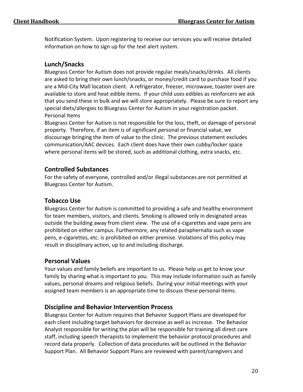Notification System. Upon registering to receive our services you will receive detailed information on how to sign up for the text alert system.

#### **Lunch/Snacks**

Bluegrass Center for Autism does not provide regular meals/snacks/drinks. All clients are asked to bring their own lunch/snacks, or money/credit card to purchase food if you are a Mid-City Mall location client. A refrigerator, freezer, microwave, toaster oven are available to store and heat edible items. If your child uses edibles as reinforcers we ask that you send these in bulk and we will store appropriately. Please be sure to report any special diets/allergies to Bluegrass Center for Autism in your registration packet. Personal Items

Bluegrass Center for Autism is not responsible for the loss, theft, or damage of personal property. Therefore, if an item is of significant personal or financial value, we discourage bringing the item of value to the clinic. The previous statement excludes communication/AAC devices. Each client does have their own cubby/locker space where personal items will be stored, such as additional clothing, extra snacks, etc.

#### **Controlled Substances**

For the safety of everyone, controlled and/or illegal substances are not permitted at Bluegrass Center for Autism.

#### **Tobacco Use**

Bluegrass Center for Autism is committed to providing a safe and healthy environment for team members, visitors, and clients. Smoking is allowed only in designated areas outside the building away from client view. The use of e-cigarettes and vape pens are prohibited on either campus. Furthermore, any related paraphernalia such as vape pens, e-cigarettes, etc. is prohibited on either premise. Violations of this policy may result in disciplinary action, up to and including discharge.

#### **Personal Values**

Your values and family beliefs are important to us. Please help us get to know your family by sharing what is important to you. This may include information such as family values, personal dreams and religious beliefs. During your initial meetings with your assigned team members is an appropriate time to discuss these personal items.

#### **Discipline and Behavior Intervention Process**

Bluegrass Center for Autism requires that Behavior Support Plans are developed for each client including target behaviors for decrease as well as increase. The Behavior Analyst responsible for writing the plan will be responsible for training all direct care staff, including speech therapists to implement the behavior protocol procedures and record data properly. Collection of data procedures will be outlined in the Behavior Support Plan. All Behavior Support Plans are reviewed with parent/caregivers and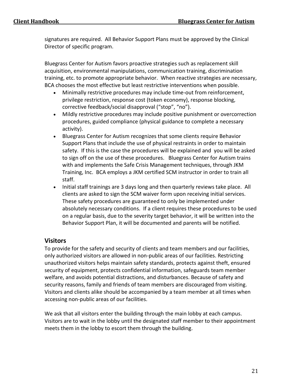signatures are required. All Behavior Support Plans must be approved by the Clinical Director of specific program.

Bluegrass Center for Autism favors proactive strategies such as replacement skill acquisition, environmental manipulations, communication training, discrimination training, etc. to promote appropriate behavior. When reactive strategies are necessary, BCA chooses the most effective but least restrictive interventions when possible.

- Minimally restrictive procedures may include time-out from reinforcement, privilege restriction, response cost (token economy), response blocking, corrective feedback/social disapproval ("stop", "no").
- Mildly restrictive procedures may include positive punishment or overcorrection procedures, guided compliance (physical guidance to complete a necessary activity).
- Bluegrass Center for Autism recognizes that some clients require Behavior Support Plans that include the use of physical restraints in order to maintain safety. If this is the case the procedures will be explained and you will be asked to sign off on the use of these procedures. Bluegrass Center for Autism trains with and implements the Safe Crisis Management techniques, through JKM Training, Inc. BCA employs a JKM certified SCM instructor in order to train all staff.
- Initial staff trainings are 3 days long and then quarterly reviews take place. All clients are asked to sign the SCM waiver form upon receiving initial services. These safety procedures are guaranteed to only be implemented under absolutely necessary conditions. If a client requires these procedures to be used on a regular basis, due to the severity target behavior, it will be written into the Behavior Support Plan, it will be documented and parents will be notified.

#### **Visitors**

To provide for the safety and security of clients and team members and our facilities, only authorized visitors are allowed in non-public areas of our facilities. Restricting unauthorized visitors helps maintain safety standards, protects against theft, ensured security of equipment, protects confidential information, safeguards team member welfare, and avoids potential distractions, and disturbances. Because of safety and security reasons, family and friends of team members are discouraged from visiting. Visitors and clients alike should be accompanied by a team member at all times when accessing non-public areas of our facilities.

We ask that all visitors enter the building through the main lobby at each campus. Visitors are to wait in the lobby until the designated staff member to their appointment meets them in the lobby to escort them through the building.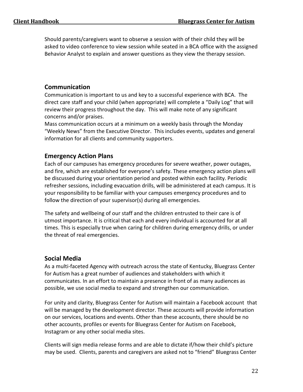Should parents/caregivers want to observe a session with of their child they will be asked to video conference to view session while seated in a BCA office with the assigned Behavior Analyst to explain and answer questions as they view the therapy session.

#### **Communication**

Communication is important to us and key to a successful experience with BCA. The direct care staff and your child (when appropriate) will complete a "Daily Log" that will review their progress throughout the day. This will make note of any significant concerns and/or praises.

Mass communication occurs at a minimum on a weekly basis through the Monday "Weekly News" from the Executive Director. This includes events, updates and general information for all clients and community supporters.

#### **Emergency Action Plans**

Each of our campuses has emergency procedures for severe weather, power outages, and fire, which are established for everyone's safety. These emergency action plans will be discussed during your orientation period and posted within each facility. Periodic refresher sessions, including evacuation drills, will be administered at each campus. It is your responsibility to be familiar with your campuses emergency procedures and to follow the direction of your supervisor(s) during all emergencies.

The safety and wellbeing of our staff and the children entrusted to their care is of utmost importance. It is critical that each and every individual is accounted for at all times. This is especially true when caring for children during emergency drills, or under the threat of real emergencies.

#### **Social Media**

As a multi-faceted Agency with outreach across the state of Kentucky, Bluegrass Center for Autism has a great number of audiences and stakeholders with which it communicates. In an effort to maintain a presence in front of as many audiences as possible, we use social media to expand and strengthen our communication.

For unity and clarity, Bluegrass Center for Autism will maintain a Facebook account that will be managed by the development director. These accounts will provide information on our services, locations and events. Other than these accounts, there should be no other accounts, profiles or events for Bluegrass Center for Autism on Facebook, Instagram or any other social media sites.

Clients will sign media release forms and are able to dictate if/how their child's picture may be used. Clients, parents and caregivers are asked not to "friend" Bluegrass Center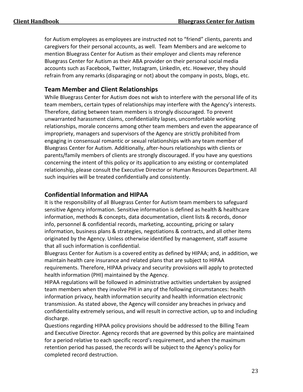for Autism employees as employees are instructed not to "friend" clients, parents and caregivers for their personal accounts, as well. Team Members and are welcome to mention Bluegrass Center for Autism as their employer and clients may reference Bluegrass Center for Autism as their ABA provider on their personal social media accounts such as Facebook, Twitter, Instagram, LinkedIn, etc. However, they should refrain from any remarks (disparaging or not) about the company in posts, blogs, etc.

#### **Team Member and Client Relationships**

While Bluegrass Center for Autism does not wish to interfere with the personal life of its team members, certain types of relationships may interfere with the Agency's interests. Therefore, dating between team members is strongly discouraged. To prevent unwarranted harassment claims, confidentiality lapses, uncomfortable working relationships, morale concerns among other team members and even the appearance of impropriety, managers and supervisors of the Agency are strictly prohibited from engaging in consensual romantic or sexual relationships with any team member of Bluegrass Center for Autism. Additionally, after-hours relationships with clients or parents/family members of clients are strongly discouraged. If you have any questions concerning the intent of this policy or its application to any existing or contemplated relationship, please consult the Executive Director or Human Resources Department. All such inquiries will be treated confidentially and consistently.

#### **Confidential Information and HIPAA**

It is the responsibility of all Bluegrass Center for Autism team members to safeguard sensitive Agency information. Sensitive information is defined as health & healthcare information, methods & concepts, data documentation, client lists & records, donor info, personnel & confidential records, marketing, accounting, pricing or salary information, business plans & strategies, negotiations & contracts, and all other items originated by the Agency. Unless otherwise identified by management, staff assume that all such information is confidential.

Bluegrass Center for Autism is a covered entity as defined by HIPAA; and, in addition, we maintain health care insurance and related plans that are subject to HIPAA requirements. Therefore, HIPAA privacy and security provisions will apply to protected health information (PHI) maintained by the Agency.

HIPAA regulations will be followed in administrative activities undertaken by assigned team members when they involve PHI in any of the following circumstances: health information privacy, health information security and health information electronic transmission. As stated above, the Agency will consider any breaches in privacy and confidentiality extremely serious, and will result in corrective action, up to and including discharge.

Questions regarding HIPAA policy provisions should be addressed to the Billing Team and Executive Director. Agency records that are governed by this policy are maintained for a period relative to each specific record's requirement, and when the maximum retention period has passed, the records will be subject to the Agency's policy for completed record destruction.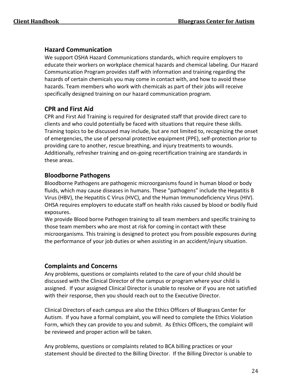#### **Hazard Communication**

We support OSHA Hazard Communications standards, which require employers to educate their workers on workplace chemical hazards and chemical labeling. Our Hazard Communication Program provides staff with information and training regarding the hazards of certain chemicals you may come in contact with, and how to avoid these hazards. Team members who work with chemicals as part of their jobs will receive specifically designed training on our hazard communication program.

#### **CPR and First Aid**

CPR and First Aid Training is required for designated staff that provide direct care to clients and who could potentially be faced with situations that require these skills. Training topics to be discussed may include, but are not limited to, recognizing the onset of emergencies, the use of personal protective equipment (PPE), self-protection prior to providing care to another, rescue breathing, and injury treatments to wounds. Additionally, refresher training and on-going recertification training are standards in these areas.

#### **Bloodborne Pathogens**

Bloodborne Pathogens are pathogenic microorganisms found in human blood or body fluids, which may cause diseases in humans. These "pathogens" include the Hepatitis B Virus (HBV), the Hepatitis C Virus (HVC), and the Human Immunodeficiency Virus (HIV). OHSA requires employers to educate staff on health risks caused by blood or bodily fluid exposures.

We provide Blood borne Pathogen training to all team members and specific training to those team members who are most at risk for coming in contact with these microorganisms. This training is designed to protect you from possible exposures during the performance of your job duties or when assisting in an accident/injury situation.

#### **Complaints and Concerns**

Any problems, questions or complaints related to the care of your child should be discussed with the Clinical Director of the campus or program where your child is assigned. If your assigned Clinical Director is unable to resolve or if you are not satisfied with their response, then you should reach out to the Executive Director.

Clinical Directors of each campus are also the Ethics Officers of Bluegrass Center for Autism. If you have a formal complaint, you will need to complete the Ethics Violation Form, which they can provide to you and submit. As Ethics Officers, the complaint will be reviewed and proper action will be taken.

Any problems, questions or complaints related to BCA billing practices or your statement should be directed to the Billing Director. If the Billing Director is unable to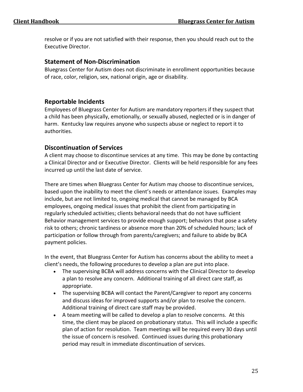resolve or if you are not satisfied with their response, then you should reach out to the Executive Director.

#### **Statement of Non-Discrimination**

Bluegrass Center for Autism does not discriminate in enrollment opportunities because of race, color, religion, sex, national origin, age or disability.

#### **Reportable Incidents**

Employees of Bluegrass Center for Autism are mandatory reporters if they suspect that a child has been physically, emotionally, or sexually abused, neglected or is in danger of harm. Kentucky law requires anyone who suspects abuse or neglect to report it to authorities.

#### **Discontinuation of Services**

A client may choose to discontinue services at any time. This may be done by contacting a Clinical Director and or Executive Director. Clients will be held responsible for any fees incurred up until the last date of service.

There are times when Bluegrass Center for Autism may choose to discontinue services, based upon the inability to meet the client's needs or attendance issues. Examples may include, but are not limited to, ongoing medical that cannot be managed by BCA employees, ongoing medical issues that prohibit the client from participating in regularly scheduled activities; clients behavioral needs that do not have sufficient Behavior management services to provide enough support; behaviors that pose a safety risk to others; chronic tardiness or absence more than 20% of scheduled hours; lack of participation or follow through from parents/caregivers; and failure to abide by BCA payment policies.

In the event, that Bluegrass Center for Autism has concerns about the ability to meet a client's needs, the following procedures to develop a plan are put into place.

- The supervising BCBA will address concerns with the Clinical Director to develop a plan to resolve any concern. Additional training of all direct care staff, as appropriate.
- The supervising BCBA will contact the Parent/Caregiver to report any concerns and discuss ideas for improved supports and/or plan to resolve the concern. Additional training of direct care staff may be provided.
- A team meeting will be called to develop a plan to resolve concerns. At this time, the client may be placed on probationary status. This will include a specific plan of action for resolution. Team meetings will be required every 30 days until the issue of concern is resolved. Continued issues during this probationary period may result in immediate discontinuation of services.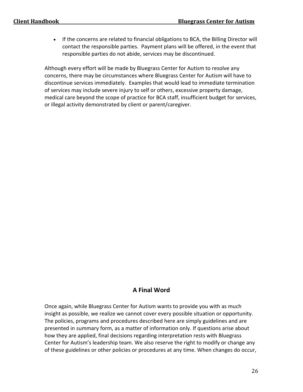• If the concerns are related to financial obligations to BCA, the Billing Director will contact the responsible parties. Payment plans will be offered, in the event that responsible parties do not abide, services may be discontinued.

Although every effort will be made by Bluegrass Center for Autism to resolve any concerns, there may be circumstances where Bluegrass Center for Autism will have to discontinue services immediately. Examples that would lead to immediate termination of services may include severe injury to self or others, excessive property damage, medical care beyond the scope of practice for BCA staff, insufficient budget for services, or illegal activity demonstrated by client or parent/caregiver.

#### **A Final Word**

Once again, while Bluegrass Center for Autism wants to provide you with as much insight as possible, we realize we cannot cover every possible situation or opportunity. The policies, programs and procedures described here are simply guidelines and are presented in summary form, as a matter of information only. If questions arise about how they are applied, final decisions regarding interpretation rests with Bluegrass Center for Autism's leadership team. We also reserve the right to modify or change any of these guidelines or other policies or procedures at any time. When changes do occur,